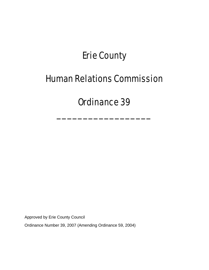# Erie County

## Human Relations Commission

# Ordinance 39

\_\_\_\_\_\_\_\_\_\_\_\_\_\_\_\_\_\_

Approved by Erie County Council

Ordinance Number 39, 2007 (Amending Ordinance 59, 2004)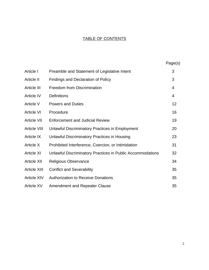## TABLE OF CONTENTS

|                     |                                                            | Page(s)        |
|---------------------|------------------------------------------------------------|----------------|
| Article I           | Preamble and Statement of Legislative Intent               | 3              |
| Article II          | <b>Findings and Declaration of Policy</b>                  | 3              |
| Article III         | <b>Freedom from Discrimination</b>                         | 4              |
| Article IV          | <b>Definitions</b>                                         | $\overline{4}$ |
| Article V           | <b>Powers and Duties</b>                                   | 12             |
| <b>Article VI</b>   | Procedure                                                  | 16             |
| <b>Article VII</b>  | <b>Enforcement and Judicial Review</b>                     | 19             |
| <b>Article VIII</b> | <b>Unlawful Discriminatory Practices in Employment</b>     | 20             |
| <b>Article IX</b>   | <b>Unlawful Discriminatory Practices in Housing</b>        | 23             |
| <b>Article X</b>    | Prohibited Interference, Coercion, or Intimidation         | 31             |
| <b>Article XI</b>   | Unlawful Discriminatory Practices in Public Accommodations | 32             |
| <b>Article XII</b>  | <b>Religious Observance</b>                                | 34             |
| <b>Article XIII</b> | <b>Conflict and Severability</b>                           | 35             |
| <b>Article XIV</b>  | <b>Authorization to Receive Donations</b>                  | 35             |
| <b>Article XV</b>   | Amendment and Repealer Clause                              | 35             |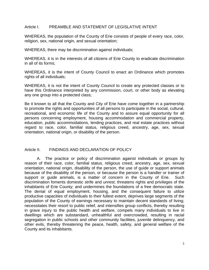#### Article I. PREAMBLE AND STATEMENT OF LEGISLATIVE INTENT

WHEREAS, the population of the County of Erie consists of people of every race, color, religion, sex, national origin, and sexual orientation;

WHEREAS, there may be discrimination against individuals;

WHEREAS, it is in the interests of all citizens of Erie County to eradicate discrimination in all of its forms;

WHEREAS, it is the intent of County Council to enact an Ordinance which promotes rights of all individuals;

WHEREAS, it is not the intent of County Council to create any protected classes or to have this Ordinance interpreted by any commission, court, or other body as elevating any one group into a protected class;

Be it known to all that the County and City of Erie have come together in a partnership to promote the rights and opportunities of all persons to participate in the social, cultural, recreational, and economic life of the County and to assure equal opportunity for all persons concerning employment, housing accommodation and commercial property, education, public accommodations, lending practices, and real estate practices without regard to race, color, familial status, religious creed, ancestry, age, sex, sexual orientation, national origin, or disability of the person.

#### Article II. FINDINGS AND DECLARATION OF POLICY

 A. The practice or policy of discrimination against individuals or groups by reason of their race, color, familial status, religious creed, ancestry, age, sex, sexual orientation, national origin, disability of the person, the use of guide or support animals because of the disability of the person, or because the person is a handler or trainer of support or guide animals, is a matter of concern in the County of Erie. Such discrimination foments domestic strife and unrest; threatens rights and privileges of the inhabitants of Erie County; and undermines the foundations of a free democratic state. The denial of equal employment, housing, and the consequent failure to utilize productive capacities of individuals to their fullest extent, deprives large segments of the population of the County of earnings necessary to maintain decent standards of living; necessitates their resort to public relief, and intensifies group conflicts, thereby resulting in grave injury to the public health and welfare, compels many individuals to live in dwellings which are substandard, unhealthful and overcrowded, resulting in racial segregation in public schools and other community facilities, juvenile delinquency, and other evils, thereby threatening the peace, health, safety, and general welfare of the County and its inhabitants.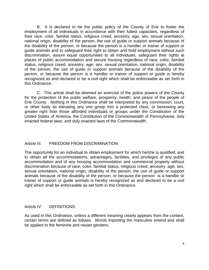B. It is declared to be the public policy of the County of Erie to foster the employment of all individuals in accordance with their fullest capacities, regardless of their race, color, familial status, religious creed, ancestry, age, sex, sexual orientation, national origin, disability of the person, the use of guide or support animals because of the disability of the person, or because the person is a handler or trainer of support or guide animals and to safeguard their right to obtain and hold employment without such discrimination, assure equal opportunities to all individuals, safeguard their rights at places of public accommodation and secure housing regardless of race, color, familial status, religious creed, ancestry, age, sex, sexual orientation, national origin, disability of the person, the use of guide or support animals because of the disability of the person, or because the person is a handler or trainer of support or guide is hereby recognized as and declared to be a civil right which shall be enforceable as set forth in this Ordinance.

 C. This article shall be deemed an exercise of the police powers of the County for the protection of the public welfare, prosperity, health, and peace of the people of Erie County. Nothing in this Ordinance shall be interpreted by any commission, court, or other body as elevating any one group into a protected class, or bestowing any greater right than those afforded individuals or groups under the Constitution of the United States of America, the Constitution of the Commonwealth of Pennsylvania, duly enacted federal laws, and duly enacted laws of the Commonwealth.

## Article III. FREEDOM FROM DISCRIMINATION

The opportunity for an individual to obtain employment for which he/she is qualified, and to obtain all the accommodations, advantages, facilities, and privileges of any public accommodation and of any housing accommodation and commercial property without discrimination because of race, color, familial status, religious creed, ancestry, age, sex, sexual orientation, national origin, disability of the person, the use of guide or support animals because of the disability of the person, or because the person is a handler or trainer of support or guide animals is hereby recognized as and declared to be a civil right which shall be enforceable as set forth in this Ordinance.

#### Article IV. DEFINITIONS

As used in this Ordinance, unless a different meaning clearly appears from the context, certain terms are defined as follows. Words importing the masculine extend and shall be applied to the feminine and neuter genders.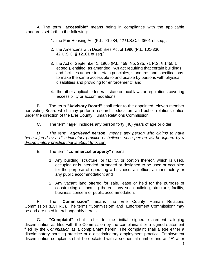A. The term **"accessible"** means being in compliance with the applicable standards set forth in the following:

- 1. the Fair Housing Act (P.L. 90-284, 42 U.S.C. § 3601 et seq.);
- 2. the Americans with Disabilities Act of 1990 (P.L. 101-336, 42 U.S.C. § 12101 et seq.);
- 3. the Act of September 1, 1965 (P.L. 459, No. 235, 71 P.S. § 1455.1 et seq.), entitled, as amended, "An act requiring that certain buildings and facilities adhere to certain principles, standards and specifications to make the same accessible to and usable by persons with physical disabilities and providing for enforcement;" and
- 4. the other applicable federal, state or local laws or regulations covering accessibility or accommodations.

B. The term **"Advisory Board"** shall refer to the appointed, eleven-member non-voting Board which may perform research, education, and public relations duties under the direction of the Erie County Human Relations Commission.

C. The term **"age"** includes any person forty (40) years of age or older.

*D. The term "aggrieved person" means any person who claims to have been injured by a discriminatory practice or believes such person will be injured by a discriminatory practice that is about to occur.*

## E. The term **"commercial property"** means:

- 1. Any building, structure, or facility, or portion thereof, which is used, occupied or is intended, arranged or designed to be used or occupied for the purpose of operating a business, an office, a manufactory or any public accommodation; and
- 2. Any vacant land offered for sale, lease or held for the purpose of constructing or locating thereon any such building, structure, facility, business concern or public accommodation.

F. The **"Commission"** means the Erie County Human Relations Commission (ECHRC). The terms "Commission" and "Enforcement Commission" may be and are used interchangeably herein.

G. **"Complaint"** shall refer to the initial signed statement alleging discrimination as filed with the Commission by the complainant or a signed statement filed by the *Commission* as a complainant herein. The complaint shall allege either a discriminatory housing practice or a discriminatory employment practice. Employment discrimination complaints shall be docketed with a sequential number and an "E" after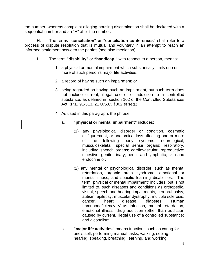the number, whereas complaint alleging housing discrimination shall be docketed with a sequential number and an "H" after the number.

H. The terms **"conciliation" or "conciliation conferences"** shall refer to a process of dispute resolution that is mutual and voluntary in an attempt to reach an informed settlement between the parties (see also mediation).

- I. The term **"disability"** or **"handicap,"** with respect to a person, means:
	- 1. a physical or mental impairment which substantially limits one or more of such person's major life activities;
	- 2. a record of having such an impairment; or
	- 3. being regarded as having such an impairment, but such term does not include current, illegal use of or addiction to a controlled substance, as defined in section 102 of the Controlled Substances Act (P.L. 91-513, 21 U.S.C. §802 et seq.).
	- 4. As used in this paragraph, the phrase:
		- a. **"physical or mental impairment"** includes:
			- (1) any physiological disorder or condition, cosmetic disfigurement, or anatomical loss affecting one or more of the following body systems: neurological; musculoskeletal; special sense organs; respiratory, including speech organs; cardiovascular; reproductive; digestive; genitourinary; hemic and lymphatic; skin and endocrine or;
			- (2) any mental or psychological disorder, such as mental retardation, organic brain syndrome, emotional or mental illness, and specific learning disabilities. The term "physical or mental impairment" includes, but is not limited to, such diseases and conditions as orthopedic, visual, speech and hearing impairments, cerebral palsy, autism, epilepsy, muscular dystrophy, multiple sclerosis, cancer, heart disease, diabetes, Human Immunodeficiency Virus infection, mental retardation, emotional illness, drug addiction (other than addiction caused by current, illegal use of a controlled substance) and alcoholism.
		- b. **"major life activities"** means functions such as caring for one's self, performing manual tasks, walking, seeing, hearing, speaking, breathing, learning, and working;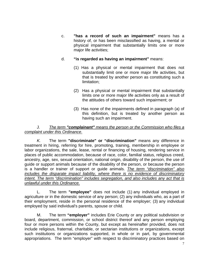- c. **"has a record of such an impairment"** means has a history of, or has been misclassified as having, a mental or physical impairment that substantially limits one or more major life activities;
- d. **"is regarded as having an impairment"** means:
	- (1) Has a physical or mental impairment that does not substantially limit one or more major life activities, but that is treated by another person as constituting such a limitation;
	- (2) Has a physical or mental impairment that substantially limits one or more major life activities only as a result of the attitudes of others toward such impairment; or
	- (3) Has none of the impairments defined in paragraph (a) of this definition, but is treated by another person as having such an impairment.

#### J. *The term "complainant" means the person or the Commission who files a complaint under this Ordinance*.

*K.* The term **"discriminate" or "discrimination"** means any difference in treatment in hiring, referring for hire, promoting, training, membership in employee or labor organizations, the sale, lease, rental or financing of housing, rendering service in places of public accommodation, because of race, color, familial status, religious creed, ancestry, age, sex, sexual orientation, national origin, disability of the person, the use of guide or support animals because of the disability of the person, or because the person is a handler or trainer of support or guide animals. *The term "discrimination" also includes the disparate impact liability, where there is no evidence of discriminatory intent. The term "discrimination" includes segregation, and also includes any act that is unlawful under this Ordinance.*

L. The term **"employee"** does not include (1) any individual employed in agriculture or in the domestic service of any person; (2) any individuals who, as a part of their employment, reside in the personal residence of the employer; (3) any individual employed by said individual's parents, spouse or child.

M. The term **"employer"** includes Erie County or any political subdivision or board, department, commission, or school district thereof and any person employing four or more persons within the County, but except as hereinafter provided, does not include religious, fraternal, charitable, or sectarian institutions or organizations, except such institutions or organizations supported, in whole or in part, by governmental appropriations. The term "employer" with respect to discriminatory practices based on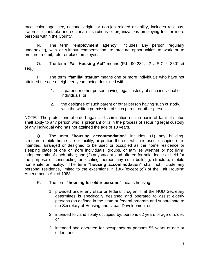race, color, age, sex, national origin, or non-job related disability, includes religious, fraternal, charitable and sectarian institutions or organizations employing four or more persons within the County.

N. The term **"employment agency"** includes any person regularly undertaking, with or without compensation, to procure opportunities to work or to procure, recruit, refer or place employees.

O. The term **"Fair Housing Act"** means (P.L. 90-284, 42 U.S.C. § 3601 et seq.).

P. The term **"familial status"** means one or more individuals who have not attained the age of eighteen years being domiciled with:

- 1. a parent or other person having legal custody of such individual or individuals; or
- 2. the designee of such parent or other person having such custody, with the written permission of such parent or other person.

NOTE: The protections afforded against discrimination on the basis of familial status shall apply to any person who is pregnant or is in the process of securing legal custody of any individual who has not attained the age of 18 years.

Q. The term **"housing accommodation"** includes: (1) any building, structure, mobile home site or facility, or portion thereof, which is used, occupied or is intended, arranged or designed to be used or occupied as the home residence or sleeping place of one or more individuals, groups, or families whether or not living independently of each other; and (2) any vacant land offered for sale, lease or held for the purpose of constructing or locating thereon any such building, structure, mobile home site or facility. The term **"housing accommodation"** shall not include any personal residence, limited to the exceptions in §804(except (c)) of the Fair Housing Amendments Act of 1988.

- R. The term **"housing for older persons"** means housing:
	- 1. provided under any state or federal program that the HUD Secretary determines is specifically designed and operated to assist elderly persons (as defined in the state or federal program and subordinate to the Secretary of Housing and Urban Development or
	- 2. intended for, and solely occupied by, persons 62 years of age or older; or
	- 3. intended and operated for occupancy by persons 55 years of age or older, and: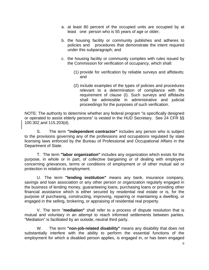- a. at least 80 percent of the occupied units are occupied by at least one person who is 55 years of age or older;
- b. the housing facility or community publishes and adheres to policies and procedures that demonstrate the intent required under this subparagraph; and
- c. the housing facility or community complies with rules issued by the Commission for verification of occupancy, which shall:
	- (1) provide for verification by reliable surveys and affidavits; and
	- (2) include examples of the types of policies and procedures relevant to a determination of compliance with the requirement of clause (I). Such surveys and affidavits shall be admissible in administrative and judicial proceedings for the purposes of such verification.

NOTE: The authority to determine whether any federal program "is specifically designed or operated to assist elderly persons" is vested in the HUD Secretary. See 24 CFR §§ 100.302 and 115.203(d).

S. The term **"independent contractor"** includes any person who is subject to the provisions governing any of the professions and occupations regulated by state licensing laws enforced by the Bureau of Professional and Occupational Affairs in the Department of State.

T. The term **"labor organization"** includes any organization which exists for the purpose, in whole or in part, of collective bargaining or of dealing with employers concerning grievances, terms or conditions of employment or of other mutual aid or protection in relation to employment.

U. The term **"lending institution"** means any bank, insurance company, savings and loan association or any other person or organization regularly engaged in the business of lending money, guaranteeing loans, purchasing loans or providing other financial assistance which is either secured by residential real estate or is, for the purpose of purchasing, constructing, improving, repairing or maintaining a dwelling, or engaged in the selling, brokering, or appraising of residential real property.

V. The term "**mediation"** shall refer to a process of dispute resolution that is mutual and voluntary in an attempt to reach informed settlements between parties. "Mediation" is facilitated by an outside, neutral third party.

W. The term **"non-job-related disability"** means any disability that does not substantially interfere with the ability to perform the essential functions of the employment for which a disabled person applies, is engaged in, or has been engaged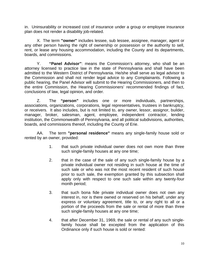in. Uninsurability or increased cost of insurance under a group or employee insurance plan does not render a disability job-related.

X. The term **"owner"** includes lessee, sub lessee, assignee, manager, agent or any other person having the right of ownership or possession or the authority to sell, rent, or lease any housing accommodation, including the County and its departments, boards, and commissions.

Y. **"Panel Advisor"**: means the Commission's attorney, who shall be an attorney licensed to practice law in the state of Pennsylvania and shall have been admitted to the Western District of Pennsylvania. He/she shall serve as legal advisor to the Commission and shall not render legal advice to any Complainants. Following a public hearing, the Panel Advisor will submit to the Hearing Commissioners, and then to the entire Commission, the Hearing Commissioners' recommended findings of fact, conclusions of law, legal opinion, and order.

Z. The **"person"** includes one or more individuals, partnerships, associations, organizations, corporations, legal representatives, trustees in bankruptcy, or receivers. It also includes, but is not limited to, any owner, lessor, assignor, builder, manager, broker, salesman, agent, employee, independent contractor, lending institution, the Commonwealth of Pennsylvania, and all political subdivisions, authorities, boards, and commissions thereof, including the County of Erie.

AA. The term **"personal residence"** means any single-family house sold or rented by an owner, provided:

- 1. that such private individual owner does not own more than three such single-family houses at any one time;
- 2. that in the case of the sale of any such single-family house by a private individual owner not residing in such house at the time of such sale or who was not the most recent resident of such house prior to such sale, the exemption granted by this subsection shall apply only with respect to one such sale within any twenty-four month period;
- 3. that such bona fide private individual owner does not own any interest in, nor is there owned or reserved on his behalf, under any express or voluntary agreement, title to, or any right to all or a portion of the proceeds from the sale or rental of more than three such single-family houses at any one time;
- 4. that after December 31, 1969, the sale or rental of any such singlefamily house shall be excepted from the application of this Ordinance only if such house is sold or rented: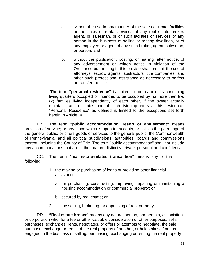- a. without the use in any manner of the sales or rental facilities or the sales or rental services of any real estate broker, agent, or salesman, or of such facilities or services of any person in the business of selling or renting dwellings, or of any employee or agent of any such broker, agent, salesman, or person; and
- b. without the publication, posting, or mailing, after notice, of any advertisement or written notice in violation of the Ordinance but nothing in this proviso shall prohibit the use of attorneys, escrow agents, abstractors, title companies, and other such professional assistance as necessary to perfect or transfer the title.

 The term **"personal residence"** is limited to rooms or units containing living quarters occupied or intended to be occupied by no more than two (2) families living independently of each other, if the owner actually maintains and occupies one of such living quarters as his residence. "Personal Residence" as defined is limited to the exceptions set forth herein in Article IX.

BB. The term **"public accommodation, resort or amusement"** means provision of service; or any place which is open to, accepts, or solicits the patronage of the general public; or offers goods or services to the general public; the Commonwealth of Pennsylvania, and all political subdivisions, authorities, boards and commissions thereof, including the County of Erie. The term "public accommodation" shall not include any accommodations that are in their nature distinctly private, personal and confidential.

CC. The term **"real estate-related transaction"** means any of the following:

- 1. the making or purchasing of loans or providing other financial assistance -
	- a. for purchasing, constructing, improving, repairing or maintaining a housing accommodation or commercial property; or
	- b. secured by real estate; or
- 2. the selling, brokering, or appraising of real property.

DD. **"Real estate broker"** means any natural person, partnership, association, or corporation who, for a fee or other valuable consideration or other purposes, sells, purchases, exchanges, rents, negotiates, or offers or attempts to negotiate, the sale, purchase, exchange or rental of the real property of another, or holds himself out as engaged in the business of selling, purchasing, exchanging or renting the real property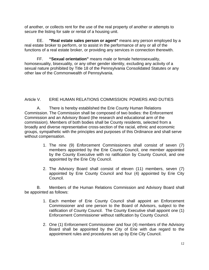of another, or collects rent for the use of the real property of another or attempts to secure the listing for sale or rental of a housing unit.

EE. **"Real estate sales person or agent"** means any person employed by a real estate broker to perform, or to assist in the performance of any or all of the functions of a real estate broker, or providing any services in connection therewith.

FF. **"Sexual orientation"** means male or female heterosexuality, homosexuality, bisexuality, or any other gender identity, excluding any activity of a sexual nature prohibited by Title 18 of the Pennsylvania Consolidated Statutes or any other law of the Commonwealth of Pennsylvania.

## Article V. ERIE HUMAN RELATIONS COMMISSION: POWERS AND DUTIES

A. There is hereby established the Erie County Human Relations Commission. The Commission shall be composed of two bodies: the Enforcement Commission and an Advisory Board (the research and educational arm of the commission). Members of both bodies shall be County residents, selected from a broadly and diverse representative cross-section of the racial, ethnic and economic groups, sympathetic with the principles and purposes of this Ordinance and shall serve without compensation.

- 1. The nine (9) Enforcement Commissioners shall consist of seven (7) members appointed by the Erie County Council, one member appointed by the County Executive with no ratification by County Council, and one appointed by the Erie City Council.
- 2. The Advisory Board shall consist of eleven (11) members, seven (7) appointed by Erie County Council and four (4) appointed by Erie City Council.

 B. Members of the Human Relations Commission and Advisory Board shall be appointed as follows:

- 1. Each member of Erie County Council shall appoint an Enforcement Commissioner and one person to the Board of Advisors, subject to the ratification of County Council. The County Executive shall appoint one (1) Enforcement Commissioner without ratification by County Council.
- 2. One (1) Enforcement Commissioner and four (4) members of the Advisory Board shall be appointed by the City of Erie with due regard to the appointment rules and procedures set up by Erie City Council.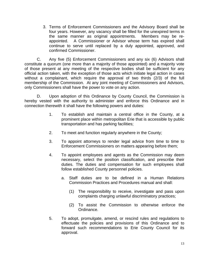3. Terms of Enforcement Commissioners and the Advisory Board shall be four years. However, any vacancy shall be filled for the unexpired terms in the same manner as original appointments. Members may be reappointed. A Commissioner or Advisor whose term has expired shall continue to serve until replaced by a duly appointed, approved, and confirmed Commissioner.

 C. Any five (5) Enforcement Commissioners and any six (6) Advisors shall constitute a quorum (one more than a majority of those appointed) and a majority vote of those present at any meeting of the respective bodies shall be sufficient for any official action taken, with the exception of those acts which initiate legal action in cases without a complainant, which require the approval of two thirds (2/3) of the full membership of the Commission. At any joint meeting of Commissioners and Advisors, only Commissioners shall have the power to vote on any action.

 D. Upon adoption of this Ordinance by County Council, the Commission is hereby vested with the authority to administer and enforce this Ordinance and in connection therewith it shall have the following powers and duties:

- 1. To establish and maintain a central office in the County, at a prominent place within metropolitan Erie that is accessible by public transportation and has parking facilities;
- 2. To meet and function regularly anywhere in the County;
- 3. To appoint attorneys to render legal advice from time to time to Enforcement Commissioners on matters appearing before them;
- 4. To appoint employees and agents as the Commission may deem necessary, select the position classification, and prescribe their duties. The duties and compensation for such employees shall follow established County personnel policies.
	- a. Staff duties are to be defined in a Human Relations Commission Practices and Procedures manual and shall:
		- (1) The responsibility to receive, investigate and pass upon complaints charging unlawful discriminatory practices;
		- (2) To assist the Commission to otherwise enforce the Ordinance.
- 5. To adopt, promulgate, amend, or rescind rules and regulations to effectuate the policies and provisions of this Ordinance and to forward such recommendations to Erie County Council for its approval.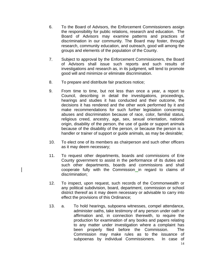- 6. To the Board of Advisors, the Enforcement Commissioners assign the responsibility for public relations, research and education. The Board of Advisors may examine patterns and practices of discrimination in our community. The Board may foster, through research, community education, and outreach, good will among the groups and elements of the population of the County.
- 7. Subject to approval by the Enforcement Commissioners, the Board of Advisors shall issue such reports and such results of investigations and research as, in its judgment, will tend to promote good will and minimize or eliminate discrimination.
- 8. To prepare and distribute fair practices notice;
- 9. From time to time, but not less than once a year, a report to Council, describing in detail the investigations, proceedings, hearings and studies it has conducted and their outcome, the decisions it has rendered and the other work performed by it and make recommendations for such further legislation concerning abuses and discrimination because of race, color, familial status, religious creed, ancestry, age, sex, sexual orientation, national origin, disability of the person, the use of guide or support animals because of the disability of the person, or because the person is a handler or trainer of support or guide animals, as may be desirable;
- 10. To elect one of its members as chairperson and such other officers as it may deem necessary;
- 11. To request other departments, boards and commissions of Erie County government to assist in the performance of its duties and such other departments, boards and commissions and shall cooperate fully with the Commission in regard to claims of discrimination;
- 12. To inspect, upon request, such records of the Commonwealth or any political subdivision, board, department, commission or school district thereof as it may deem necessary or advisable to carry into effect the provisions of this Ordinance;
- 13. a. To hold hearings, subpoena witnesses, compel attendance, administer oaths, take testimony of any person under oath or affirmation and, in connection therewith, to require the production for examination of any books and papers relating to any matter under investigation where a complaint has been properly filed before the Commission. The Commission may make rules as to the issuance of subpoenas by individual Commissioners. In case of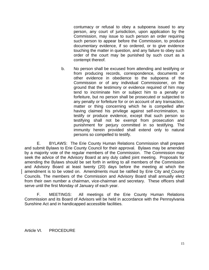contumacy or refusal to obey a subpoena issued to any person, any court of jurisdiction, upon application by the Commission, may issue to such person an order requiring such person to appear before the Commission, to produce documentary evidence, if so ordered, or to give evidence touching the matter in question, and any failure to obey such order of the court may be punished by such court as a contempt thereof.

 b. No person shall be excused from attending and testifying or from producing records, correspondence, documents or other evidence in obedience to the subpoena of the Commission or of any individual Commissioner, on the ground that the testimony or evidence required of him may tend to incriminate him or subject him to a penalty or forfeiture, but no person shall be prosecuted or subjected to any penalty or forfeiture for or on account of any transaction, matter or thing concerning which he is compelled after having claimed his privilege against self-incrimination, to testify or produce evidence, except that such person so testifying shall not be exempt from prosecution and punishment for perjury committed in so testifying. The immunity herein provided shall extend only to natural persons so compelled to testify.

E. BYLAWS: The Erie County Human Relations Commission shall prepare and submit Bylaws to Erie County Council for their approval. Bylaws may be amended by a majority vote of the regular members of the Commission. The Commission may seek the advice of the Advisory Board at any duly called joint meeting. Proposals for amending the Bylaws should be set forth in writing to all members of the Commission and Advisory Board at least twenty (20) days before the meeting at which the amendment is to be voted on. Amendments must be ratified by Erie City and County Councils. The members of the Commission and Advisory Board shall annually elect from their own number a chairman, vice-chairman and secretary. These officers shall serve until the first Monday of January of each year.

F. MEETINGS: All meetings of the Erie County Human Relations Commission and its Board of Advisors will be held in accordance with the Pennsylvania Sunshine Act and in handicapped accessible facilities.

Article VI. PROCEDURE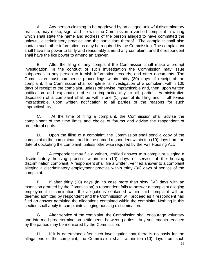A. Any person claiming to be aggrieved by an alleged unlawful discriminatory practice, may make, sign, and file with the Commission a verified complaint in writing which shall state the name and address of the person alleged to have committed the unlawful discriminatory practice and the particulars thereof. The complaint shall also contain such other information as may be required by the Commission. The complainant shall have the power to fairly and reasonably amend any complaint, and the respondent shall have the like power to amend an answer.

 B. After the filing of any complaint the Commission shall make a prompt investigation. In the conduct of such investigation the Commission may issue subpoenas to any person to furnish information, records, and other documents. The Commission must commence proceedings within thirty (30) days of receipt of the complaint. The Commission shall complete its investigation of a complaint within 100 days of receipt of the complaint, unless otherwise impracticable and, then, upon written notification and explanation of such impracticability to all parties. Administrative disposition of a complaint shall be within one (1) year of its filing and, if otherwise impracticable, upon written notification to all parties of the reasons for such impracticability.

 C. At the time of filing a complaint, the Commission shall advise the complainant of the time limits and choice of forums and advise the respondent of procedural rights.

 D. Upon the filing of a complaint, the Commission shall send a copy of the complaint to the complainant and to the named respondent within ten (10) days from the date of docketing the complaint, unless otherwise required by the Fair Housing Act.

 E. A respondent may file a written, verified answer to a complaint alleging a discriminatory housing practice within ten (10) days of service of the housing discrimination complaint. A respondent shall file a written, verified answer to a complaint alleging a discriminatory employment practice within thirty (30) days of service of the complaint.

 F. If after thirty (30) days (in no case more than sixty (60) days with an extension granted by the Commission) a respondent fails to answer a complaint alleging employment discrimination, the allegations contained within said complaint will be deemed admitted by respondent and the Commission will proceed as if respondent had filed an answer admitting the allegations contained within the complaint. Nothing in this section shall apply to complaints alleging housing discrimination.

 G. After service of the complaint, the Commission shall encourage voluntary and informed predetermination settlements between parties. Any settlements reached by the parties may be monitored by the Commission.

 H. If it is determined after such investigation that there is no basis for the allegations of the complaint, the Commission shall, within ten (10) days from such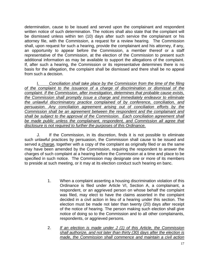determination, cause to be issued and served upon the complainant and respondent written notice of such determination. The notices shall also state that the complaint will be dismissed unless within ten (10) days after such service the complainant or his attorney file, with the Commission, a request for a review hearing. The Commission shall, upon request for such a hearing, provide the complainant and his attorney, if any, an opportunity to appear before the Commission, a member thereof or a staff representative of the Commission, at the election of the Commission to present such additional information as may be available to support the allegations of the complaint. If, after such a hearing, the Commission or its representative determines there is no basis for the allegation, the complaint shall be dismissed and there shall be no appeal from such a decision.

Conciliation shall take place by the Commission from the time of the filing *of the complaint to the issuance of a charge of discrimination or dismissal of the complaint. If the Commission, after investigation, determines that probable cause exists, the Commission shall promptly issue a charge and immediately endeavor to eliminate the unlawful discriminatory practice complained of by conference, conciliation, and persuasion. Any conciliation agreement arising out of conciliation efforts by the Commission shall be an agreement between the respondent and the complainant and shall be subject to the approval of the Commission. Each conciliation agreement shall be made public unless the complainant, respondent, and Commission all agree that disclosure is not required to further the purposes of this Ordinance.*

 J. If the Commission, in its discretion, finds it is not possible to eliminate such unlawful practices by persuasion, the Commission shall cause to be issued and served a charge, together with a copy of the complaint as originally filed or as the same may have been amended by the Commission, requiring the respondent to answer the charges of such complaint at a hearing before the Commission at a time and place to be specified in such notice. The Commission may designate one or more of its members to preside at such meeting, or it may at its election conduct such hearing en banc.

- 1. When a complaint asserting a housing discrimination violation of this Ordinance is filed under Article VI, Section A, a complainant, a respondent, or an aggrieved person on whose behalf the complaint was filed, may elect to have the claims asserted in the complaint decided in a civil action in lieu of a hearing under this section. The election must be made not later than twenty (20) days after receipt of the notice of hearing. The person making such election shall give notice of doing so to the Commission and to all other complainants, respondents, or aggrieved persons.
- 2. *If an election is made under J (1) of this Article, the Commission shall authorize, and not later than thirty (30) days after the election is made, the Commission shall commence and maintain a civil action*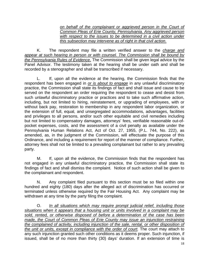*on behalf of the complainant or aggrieved person in the Court of Common Pleas of Erie County, Pennsylvania. Any aggrieved person*  with respect to the issues to be determined in a civil action under *this subsection may intervene as of right in that civil action*.

 K. The respondent may file a written verified answer to the *charge and appear at such hearing in person or with counsel. The Commission shall be bound by the Pennsylvania Rules of Evidence*. The Commission shall be given legal advice by the Panel Advisor. The testimony taken at the hearing shall be under oath and shall be recorded by a stenographer and shall be transcribed if necessary.

 L. If, upon all the evidence at the hearing, the Commission finds that the respondent has been engaged in *or is about to engage* in any unlawful discriminatory practice, the Commission shall state its findings of fact and shall issue and cause to be served on the respondent an order requiring the respondent to cease and desist from such unlawful discriminatory practice or practices and to take such affirmative action, including, but not limited to hiring, reinstatement, or upgrading of employees, with or without back pay, restoration to membership in any respondent labor organization, or the extension of full, equal, and unsegregated accommodations, advantages, facilities and privileges to all persons, and/or such other equitable and civil remedies including but not limited to compensatory damages, attorneys' fees, verifiable reasonable out-ofpocket expenses, costs, and the assessment of a civil penalty as available under the Pennsylvania Human Relations Act, Act of Oct. 27, 1955, (P.L. 744, No. 222), as amended, as, in the judgment of the Commission, will effectuate the purpose of this Ordinance, and including a requirement for report of the manner of compliance. Further, attorney fees shall not be limited to a prevailing complainant but rather to any prevailing party.

 M. If, upon all the evidence, the Commission finds that the respondent has not engaged in any unlawful discriminatory practice, the Commission shall state its findings of fact and shall dismiss the complaint. Notice of such action shall be given to the complainant and respondent.

 N. Any complaint filed pursuant to this section must be so filed within one hundred and eighty (180) days after the alleged act of discrimination has occurred or terminated unless otherwise required by the Fair Housing Act. Any complaint may be withdrawn at any time by the party filing the complaint.

 O. *In all situations which may require prompt judicial relief, including those situations when it appears that a housing unit or units involved in a complaint may be sold, rented, or otherwise disposed of before a determination of the case has been made, the Court of Common Pleas of Erie County may issue an injunction restraining the complained of activity, including injunction of the sale, rental, or other disposition of the unit or units, except in compliance with the order of court.* The court may attach to any such injunction granted such other conditions as it deems proper. Such injunction, if issued, shall be of no more than thirty (30) days' duration. If an extension of time is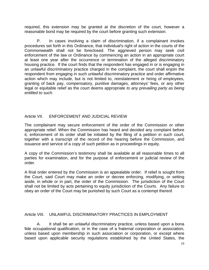required, this extension may be granted at the discretion of the court, however a reasonable bond may be required by the court before granting such extension.

 P. In cases involving a claim of discrimination, if a complainant invokes procedures set forth in this Ordinance, that individual's right of action in the courts of the Commonwealth shall not be foreclosed. The aggrieved person may seek civil enforcement of the law or Ordinance by commencing an action in an appropriate court at least one year after the occurrence or termination of the alleged discriminatory housing practice. If the court finds that the respondent has engaged in or is engaging in an unlawful discriminatory practice charged in the complaint, the court shall enjoin the respondent from engaging in such unlawful discriminatory practice and order affirmative action which may include, but is not limited to, reinstatement or hiring of employees, granting of back pay, compensatory, punitive damages, attorneys' fees, or any other legal or equitable relief as the court deems appropriate *to any prevailing party as being entitled to such*.

#### Article VII. ENFORCEMENT AND JUDICIAL REVIEW

The complainant may secure enforcement of the order of the Commission or other appropriate relief. When the Commission has heard and decided any complaint before it, enforcement of its order shall be initiated by the filing of a petition in such court, together with a transcript of the record of the hearing before the Commission, and issuance and service of a copy of such petition as in proceedings in equity.

A copy of the Commission's testimony shall be available at all reasonable times to all parties for examination, and for the purpose of enforcement or judicial review of the order.

A final order entered by the Commission is an appealable order. If relief is sought from the Court, said Court may make an order or decree enforcing, modifying, or setting aside, in whole or in part, the order of the Commission. The jurisdiction of the Court shall not be limited by acts pertaining to equity jurisdiction of the Courts. Any failure to obey an order of the Court may be punished by such Court as a contempt thereof.

#### Article VIII. UNI AWFUL DISCRIMINATORY PRACTICES IN EMPLOYMENT

A. It shall be an unlawful discriminatory practice, unless based upon a bona fide occupational qualification, or in the case of a fraternal corporation or association, unless based upon membership in such association or corporation, or except where based upon applicable security regulations established by the United States, the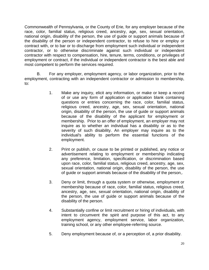Commonwealth of Pennsylvania, or the County of Erie, for any employer because of the race, color, familial status, religious creed, ancestry, age, sex, sexual orientation, national origin, disability of the person, the use of guide or support animals because of the disability of the person or independent contractor, to refuse to hire or employ or contract with, or to bar or to discharge from employment such individual or independent contractor, or to otherwise discriminate against such individual or independent contractor with respect to compensation, hire, tenure, terms, conditions, or privileges of employment or contract, if the individual or independent contractor is the best able and most competent to perform the services required.

 B. For any employer, employment agency, or labor organization, prior to the employment, contracting with an independent contractor or admission to membership, to:

- 1. Make any inquiry, elicit any information, or make or keep a record of or use any form of application or application blank containing questions or entries concerning the race, color, familial status, religious creed, ancestry, age, sex, sexual orientation, national origin, disability of the person, the use of guide or support animals because of the disability of the applicant for employment or membership. Prior to an offer of employment, an employer may not inquire as to whether an individual has a disability or as to the severity of such disability. An employer may inquire as to the individual's ability to perform the essential functions of the employment.
- 2. Print or publish, or cause to be printed or published, any notice or advertisement relating to employment or membership indicating any preference, limitation, specification, or discrimination based upon race, color, familial status, religious creed, ancestry, age, sex, sexual orientation, national origin, disability of the person, the use of guide or support animals because of the disability of the person,.
- 3. Deny or limit, through a quota system or otherwise, employment or membership because of race, color, familial status, religious creed, ancestry, age, sex, sexual orientation, national origin, disability of the person, the use of guide or support animals because of the disability of the person.
- 4. Substantially confine or limit recruitment or hiring of individuals, with intent to circumvent the spirit and purpose of this act, to any employment agency, employment service, labor organization, training school, or any other employee-referring source.
- 5. Deny employment because of, or a perception of, a prior disability.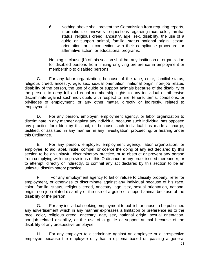6. Nothing above shall prevent the Commission from requiring reports, information, or answers to questions regarding race, color, familial status, religious creed, ancestry, age, sex, disability, the use of a guide or support animal, familial status national origin, sexual orientation, or in connection with their compliance procedure, or affirmative action, or educational programs.

Nothing in clause (b) of this section shall bar any institution or organization for disabled persons from limiting or giving preference in employment or membership to disabled persons.

 C. For any labor organization, because of the race, color, familial status, religious creed, ancestry, age, sex, sexual orientation, national origin, non-job related disability of the person, the use of guide or support animals because of the disability of the person, to deny full and equal membership rights to any individual or otherwise discriminate against such individuals with respect to hire, tenure, terms, conditions, or privileges of employment, or any other matter, directly or indirectly, related to employment.

 D. For any person, employer, employment agency, or labor organization to discriminate in any manner against any individual because such individual has opposed any practice forbidden by this act, or because such individual has made a charge, testified, or assisted, in any manner, in any investigation, proceeding, or hearing under this Ordinance.

 E. For any person, employer, employment agency, labor organization, or employee, to aid, abet, incite, compel, or coerce the doing of any act declared by this section to be an unlawful discriminatory practice, or to obstruct or prevent any person from complying with the provisions of this Ordinance or any order issued thereunder, or to attempt, directly or indirectly, to commit any act declared by this section to be an unlawful discriminatory practice.

 F. For any employment agency to fail or refuse to classify properly, refer for employment, or otherwise to discriminate against any individual because of his race, color, familial status, religious creed, ancestry, age, sex, sexual orientation, national origin, non-job related disability or the use of a guide or support animal because of the disability of the person.

 G. For any individual seeking employment to publish or cause to be published any advertisement which in any manner expresses a limitation or preference as to the race, color, religious creed, ancestry, age, sex, national origin, sexual orientation, non-job related disability, or the use of a guide or support animal because of the disability of any prospective employee.

 H. For any employer to discriminate against an employee or a prospective employee because the employee only has a diploma based on passing a general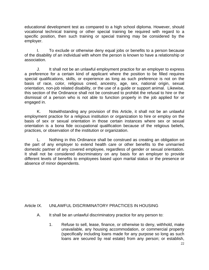educational development test as compared to a high school diploma. However, should vocational technical training or other special training be required with regard to a specific position, then such training or special training may be considered by the employer.

 I. To exclude or otherwise deny equal jobs or benefits to a person because of the disability of an individual with whom the person is known to have a relationship or association.

 J. It shall not be an unlawful employment practice for an employer to express a preference for a certain kind of applicant where the position to be filled requires special qualifications, skills, or experience as long as such preference is not on the basis of race, color, religious creed, ancestry, age, sex, national origin, sexual orientation, non-job related disability, or the use of a guide or support animal. Likewise, this section of the Ordinance shall not be construed to prohibit the refusal to hire or the dismissal of a person who is not able to function properly in the job applied for or engaged in.

 K. Notwithstanding any provision of this Article, it shall not be an unlawful employment practice for a religious institution or organization to hire or employ on the basis of sex or sexual orientation in those certain instances where sex or sexual orientation is a bona fide occupational qualification because of the religious beliefs, practices, or observation of the institution or organization.

 L. Nothing in this Ordinance shall be construed as creating an obligation on the part of any employer to extend health care or other benefits to the unmarried domestic partner of any covered employee, regardless of gender or sexual orientation. It shall not be considered discriminatory on any basis for an employer to provide different levels of benefits to employees based upon marital status or the presence or absence of minor dependents.

## Article IX. UNLAWFUL DISCRIMINATORY PRACTICES IN HOUSING

- A. It shall be an unlawful discriminatory practice for any person to:
	- 1. Refuse to sell, lease, finance, or otherwise to deny, withhold, make unavailable, any housing accommodation, or commercial property (specifically including loans made for any purpose so long as such loans are secured by real estate) from any person; or establish,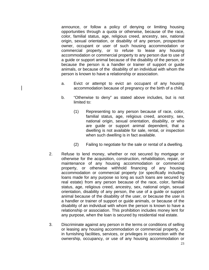announce, or follow a policy of denying or limiting housing opportunities through a quota or otherwise, because of the race, color, familial status, age, religious creed, ancestry, sex, national origin, sexual orientation, or disability of any person, prospective owner, occupant or user of such housing accommodation or commercial property, or to refuse to lease any housing accommodation or commercial property to any person due to use of a guide or support animal because of the disability of the person, or because the person is a handler or trainer of support or guide animals, or because of the disability of an individual with whom the person is known to have a relationship or association.

- a. Evict or attempt to evict an occupant of any housing accommodation because of pregnancy or the birth of a child.
- b. "Otherwise to deny" as stated above includes, but is not limited to:
	- (1) Representing to any person because of race, color, familial status, age, religious creed, ancestry, sex, national origin, sexual orientation, disability, or who are guide or support animal dependent, that a dwelling is not available for sale, rental, or inspection when such dwelling is in fact available.
	- (2) Failing to negotiate for the sale or rental of a dwelling.
- 2. Refuse to lend money, whether or not secured by mortgage or otherwise for the acquisition, construction, rehabilitation, repair, or maintenance of any housing accommodation or commercial property, or otherwise withhold financing of any housing accommodation or commercial property (or specifically including loans made for any purpose so long as such loans are secured by real estate) from any person because of the race, color, familial status, age, religious creed, ancestry, sex, national origin, sexual orientation, disability of any person, the use of a guide or support animal because of the disability of the user, or because the user is a handler or trainer of support or guide animals, or because of the disability of an individual with whom the person is known to have a relationship or association. This prohibition includes money lent for any purpose, when the loan is secured by residential real estate.
- 3. Discriminate against any person in the terms or conditions of selling or leasing any housing accommodation or commercial property, or in furnishing facilities, services, or privileges in connection with the ownership, occupancy, or use of any housing accommodation or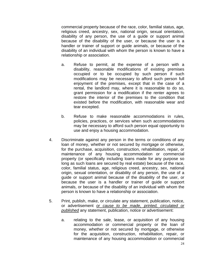commercial property because of the race, color, familial status, age, religious creed, ancestry, sex, national origin, sexual orientation, disability of any person, the use of a guide or support animal because of the disability of the user, or because the user is a handler or trainer of support or guide animals, or because of the disability of an individual with whom the person is known to have a relationship or association.

- a. Refuse to permit, at the expense of a person with a disability, reasonable modifications of existing premises occupied or to be occupied by such person if such modifications may be necessary to afford such person full enjoyment of the premises, except that in the case of a rental, the landlord may, where it is reasonable to do so, grant permission for a modification if the renter agrees to restore the interior of the premises to the condition that existed before the modification, with reasonable wear and tear excepted.
- b. Refuse to make reasonable accommodations in rules, policies, practices, or services when such accommodations may be necessary to afford such person equal opportunity to use and enjoy a housing accommodation.
- 4. Discriminate against any person in the terms or conditions of any loan of money, whether or not secured by mortgage or otherwise, for the purchase, acquisition, construction, rehabilitation, repair, or maintenance of any housing accommodation or commercial property (or specifically including loans made for any purpose so long as such loans are secured by real estate) because of the race, color, familial status, age, religious creed, ancestry, sex, national origin, sexual orientation, or disability of any person, the use of a guide or support animal because of the disability of the user, or because the user is a handler or trainer of guide or support animals, or because of the disability of an individual with whom the person is known to have a relationship or association.
- 5. Print, publish, make, or circulate any statement, publication, notice, or advertisement *or cause to be made, printed, circulated or published* any statement, publication, notice or advertisement:
	- a. relating to the sale, lease, or acquisition of any housing accommodation or commercial property or the loan of money, whether or not secured by mortgage, or otherwise for the acquisition, construction, rehabilitation, repair, or maintenance of any housing accommodation or commercial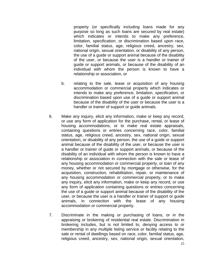property (or specifically including loans made for any purpose so long as such loans are secured by real estate) which indicates or intends to make any preference, limitation, specification, or discrimination based upon race, color, familial status, age, religious creed, ancestry, sex, national origin, sexual orientation, or disability of any person, the use of a guide or support animal because of the disability of the user, or because the user is a handler or trainer of guide or support animals, or because of the disability of an individual with whom the person is known to have a relationship or association, or

- b. relating to the sale, lease or acquisition of any housing accommodation or commercial property which indicates or intends to make any preference, limitation, specification, or discrimination based upon use of a guide or support animal because of the disability of the user or because the user is a handler or trainer of support or guide animals.
- 6. Make any inquiry, elicit any information, make or keep any record, or use any form of application for the purchase, rental, or lease of housing accommodations, or to make real estate appraisals, containing questions or entries concerning race, color, familial status, age, religious creed, ancestry, sex, national origin, sexual orientation, or disability of any person, the use of a guide or support animal because of the disability of the user, or because the user is a handler or trainer of guide or support animals, or because of the disability of an individual with whom the person is known to have a relationship or association in connection with the sale or lease of any housing accommodation or commercial property, or loan of any money, whether or not secured by mortgage or otherwise, for the acquisition, construction, rehabilitation, repair, or maintenance of any housing accommodation or commercial property, or to make any inquiry, elicit any information, make or keep any record, or use any form of application containing questions or entries concerning the use of a guide or support animal because of the disability of the user, or because the user is a handler or trainer of support or guide animals, in connection with the lease of any housing accommodation or commercial property.
- 7. Discriminate in the making or purchasing of loans, or in the appraising or brokering of residential real estate. Discrimination in brokering includes, but is not limited to, denying access to or membership in any multiple listing service or facility relating to the sale or rental of dwellings based on race, color, familial status, age, religious creed, ancestry, sex, national origin, sexual orientation,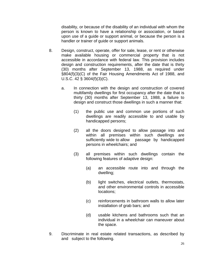disability, or because of the disability of an individual with whom the person is known to have a relationship or association, or based upon use of a guide or support animal, or because the person is a handler or trainer of guide or support animals.

- 8. Design, construct, operate, offer for sale, lease, or rent or otherwise make available housing or commercial property that is not accessible in accordance with federal law. This provision includes design and construction requirements, after the date that is thirty (30) months after September 13, 1988, as required under §804(f)(3)(C) of the Fair Housing Amendments Act of 1988, and U.S.C. 42 § 3604(f)(3)(C).
	- a. In connection with the design and construction of covered multifamily dwellings for first occupancy after the date that is thirty (30) months after September 13, 1988, a failure to design and construct those dwellings in such a manner that:
		- (1) the public use and common use portions of such dwellings are readily accessible to and usable by handicapped persons;
		- (2) all the doors designed to allow passage into and within all premises within such dwellings are sufficiently wide to allow passage by handicapped persons in wheelchairs; and
		- (3) all premises within such dwellings contain the following features of adaptive design:
			- (a) an accessible route into and through the dwelling;
			- (b) light switches, electrical outlets, thermostats, and other environmental controls in accessible locations;
			- (c) reinforcements in bathroom walls to allow later installation of grab bars; and
			- (d) usable kitchens and bathrooms such that an individual in a wheelchair can maneuver about the space.
- 9. Discriminate in real estate related transactions, as described by and subject to the following.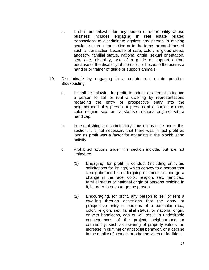- a. It shall be unlawful for any person or other entity whose business includes engaging in real estate related transactions to discriminate against any person in making available such a transaction or in the terms or conditions of such a transaction because of race, color, religious creed, ancestry, familial status, national origin, sexual orientation, sex, age, disability, use of a guide or support animal because of the disability of the user, or because the user is a handler or trainer of guide or support animals.
- 10. Discriminate by engaging in a certain real estate practice: Blockbusting,
	- a. It shall be unlawful, for profit, to induce or attempt to induce a person to sell or rent a dwelling by representations regarding the entry or prospective entry into the neighborhood of a person or persons of a particular race, color, religion, sex, familial status or national origin or with a handicap.
	- b. In establishing a discriminatory housing practice under this section, it is not necessary that there was in fact profit as long as profit was a factor for engaging in the blockbusting activity.
	- c. Prohibited actions under this section include, but are not limited to:
		- (1) Engaging, for profit in conduct (including uninvited solicitations for listings) which convey to a person that a neighborhood is undergoing or about to undergo a change in the race, color, religion, sex, handicap, familial status or national origin of persons residing in it, in order to encourage the person
		- (2) Encouraging, for profit, any person to sell or rent a dwelling through assertions that the entry or prospective entry of persons of a particular race, color, religion, sex, familial status, or national origin, or with handicaps, can or will result in undesirable consequences of the project, neighborhood or community, such as lowering of property values, an increase in criminal or antisocial behavior, or a decline in the quality of schools or other services or facilities.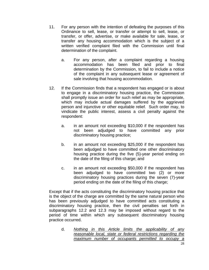- 11. For any person with the intention of defeating the purposes of this Ordinance to sell, lease, or transfer or attempt to sell, lease, or transfer, or offer, advertise, or make available for sale, lease, or transfer any housing accommodation which is the subject of a written verified complaint filed with the Commission until final determination of the complaint.
	- a. For any person, after a complaint regarding a housing accommodation has been filed and prior to final determination by the Commission, to fail to include a notice of the complaint in any subsequent lease or agreement of sale involving that housing accommodation.
- 12. If the Commission finds that a respondent has engaged or is about to engage in a discriminatory housing practice, the Commission shall promptly issue an order for such relief as may be appropriate, which may include actual damages suffered by the aggrieved person and injunctive or other equitable relief. Such order may, to vindicate the public interest, assess a civil penalty against the respondent:
	- a. in an amount not exceeding \$10,000 if the respondent has not been adjudged to have committed any prior discriminatory housing practice;
	- b. in an amount not exceeding \$25,000 if the respondent has been adjudged to have committed one other discriminatory housing practice during the five (5)-year period ending on the date of the filing of this charge; and
	- c. in an amount not exceeding \$50,000 if the respondent has been adjudged to have committed two (2) or more discriminatory housing practices during the seven (7)-year period ending on the date of the filing of this charge;

 Except that if the acts constituting the discriminatory housing practice that is the object of the charge are committed by the same natural person who has been previously adjudged to have committed acts constituting a discriminatory housing practice, then the civil penalties set forth in subparagraphs 12.2 and 12.3 may be imposed without regard to the period of time within which any subsequent discriminatory housing practice occurred.

d. *Nothing in this Article limits the applicability of any reasonable local, state or federal restrictions regarding the maximum number of occupants permitted to occupy a*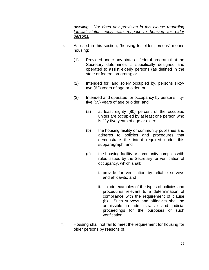*dwelling. Nor does any provision in this clause regarding*  familial status apply with respect to housing for older *persons.*

- e. As used in this section, "housing for older persons" means housing:
	- (1) Provided under any state or federal program that the Secretary determines is specifically designed and operated to assist elderly persons (as defined in the state or federal program); or
	- (2) Intended for, and solely occupied by, persons sixtytwo (62) years of age or older; or
	- (3) Intended and operated for occupancy by persons fiftyfive (55) years of age or older, and
		- (a) at least eighty (80) percent of the occupied unites are occupied by at least one person who is fifty-five years of age or older;
		- (b) the housing facility or community publishes and adheres to policies and procedures that demonstrate the intent required under this subparagraph; and
		- (c) the housing facility or community complies with rules issued by the Secretary for verification of occupancy, which shall:
			- i. provide for verification by reliable surveys and affidavits; and
			- ii. include examples of the types of policies and procedures relevant to a determination of compliance with the requirement of clause (b). Such surveys and affidavits shall be admissible in administrative and judicial proceedings for the purposes of such verification.
- f. Housing shall not fail to meet the requirement for housing for older persons by reasons of: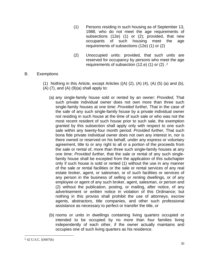- (1) Persons residing in such housing as of September 13, 1988, who do not meet the age requirements of subsections (12e) (1) or (2); provided, that new occupants of such housing meet the age requirements of subsections (12e) (1) or (2)
- (2) Unoccupied units: provided, that such units are reserved for occupancy by persons who meet the age requirements of subsection (12.e) (1) or (2) .2

### B. Exemptions

(1) Nothing in this Article, except Articles  $((A)$   $(2)$ ,  $(A)$   $(4)$ ,  $(A)$   $(5)$   $(a)$  and  $(b)$ ,  $(A)$   $(7)$ , and  $(A)$   $(9)(a)$  shall apply to:

- (a) any single-family house sold or rented by an owner: *Provided*, That such private individual owner does not own more than three such single-family houses at one time: *Provided further,* That in the case of the sale of any such single-family house by a private individual owner not residing in such house at the time of such sale or who was not the most recent resident of such house prior to such sale, the exemption granted by this subsection shall apply only with respect to one such sale within any twenty-four month period: *Provided further,* That such bona fide private individual owner does not own any interest in, nor is there owned or reserved on his behalf, under any express or voluntary agreement, title to or any right to all or a portion of the proceeds from the sale or rental of, more than three such single-family houses at any one time: *Provided further,* that the sale or rental of any such singlefamily house shall be excepted from the application of this subchapter only if such house is sold or rented (1) without the use in any manner of the sale or rental facilities or the sale or rental services of any real estate broker, agent, or salesman, or of such facilities or services of any person in the business of selling or renting dwellings, or of any employee or agent of any such broker, agent, salesman, or person and (2) without the publication, posting, or mailing, after notice, of any advertisement or written notice in violation of this Ordinance; but nothing in this proviso shall prohibit the use of attorneys, escrow agents, abstractors, title companies, and other such professional assistance as necessary to perfect or transfer the title, or
- (b) rooms or units in dwellings containing living quarters occupied or intended to be occupied by no more than four families living independently of each other, if the owner actually maintains and occupies one of such living quarters as his residence.

 $\overline{a}$ 

<sup>2 42</sup> U.S.C. §3607(b)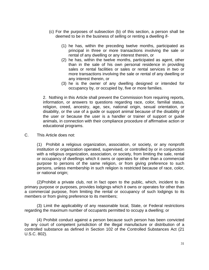- (c) For the purposes of subsection (b) of this section, a person shall be deemed to be in the business of selling or renting a dwelling if-
	- (1) he has, within the preceding twelve months, participated as principal in three or more transactions involving the sale or rental of any dwelling or any interest therein, or
	- (2) he has, within the twelve months, participated as agent, other than in the sale of his own personal residence in providing sales or rental facilities or sales or rental services in two or more transactions involving the sale or rental of any dwelling or any interest therein, or
	- (3) he is the owner of any dwelling designed or intended for occupancy by, or occupied by, five or more families.

2. Nothing in this Article shall prevent the Commission from requiring reports, information, or answers to questions regarding race, color, familial status, religion, creed, ancestry, age, sex, national origin, sexual orientation, or disability, or the use of a guide or support animal because of the disability of the user or because the user is a handler or trainer of support or guide animals, in connection with their compliance procedure of affirmative action or educational programs.

C. This Article does not:

(1) Prohibit a religious organization, association, or society, or any nonprofit institution or organization operated, supervised, or controlled by or in conjunction with a religious organization, association, or society, from limiting the sale, rental or occupancy of dwellings which it owns or operates for other than a commercial purpose to persons of the same religion, or from giving preference to such persons, unless membership in such religion is restricted because of race, color, or national origin;

 (2)Prohibit a private club, not in fact open to the public, which, incident to its primary purpose or purposes, provides lodgings which it owns or operates for other than a commercial purpose, from limiting the rental or occupancy of such lodgings to its members or from giving preference to its members;

 (3) Limit the applicability of any reasonable local, State, or Federal restrictions regarding the maximum number of occupants permitted to occupy a dwelling; or

 (4) Prohibit conduct against a person because such person has been convicted by any court of competent jurisdiction of the illegal manufacture or distribution of a controlled substance as defined in Section 102 of the Controlled Substances Act (21 U.S.C. 802).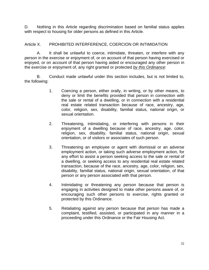D. Nothing in this Article regarding discrimination based on familial status applies with respect to housing for older persons as defined in this Article.

## Article X. PROHIBITED INTERFERENCE, COERCION OR INTIMIDATION

 A. It shall be unlawful to coerce, intimidate, threaten, or interfere with any person in the exercise or enjoyment of, or on account of that person having exercised or enjoyed, or on account of that person having aided or encouraged any other person in the exercise or enjoyment of, any right granted or protected *by this Ordinance*:

 B. Conduct made unlawful under this section includes, but is not limited to, the following:

- 1. Coercing a person, either orally, in writing, or by other means, to deny or limit the benefits provided that person in connection with the sale or rental of a dwelling, or in connection with a residential real estate related transaction because of race, ancestry, age, color, religion, sex, disability, familial status, national origin, or sexual orientation.
- 2. Threatening, intimidating, or interfering with persons in their enjoyment of a dwelling because of race, ancestry, age, color, religion, sex, disability, familial status, national origin, sexual orientation, or of visitors or associates of such person.
- 3. Threatening an employee or agent with dismissal or an adverse employment action, or taking such adverse employment action, for any effort to assist a person seeking access to the sale or rental of a dwelling, or seeking access to any residential real estate related transaction, because of the race, ancestry, age, color, religion, sex, disability, familial status, national origin, sexual orientation, of that person or any person associated with that person.
- 4. Intimidating or threatening any person because that person is engaging in activities designed to make other persons aware of, or encouraging such other persons to exercise, rights granted or protected by this Ordinance.
- 5. Retaliating against any person because that person has made a complaint, testified, assisted, or participated in any manner in a proceeding under this Ordinance or the Fair Housing Act.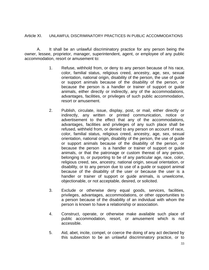#### Article XI. UNLAWFUL DISCRIMINATORY PRACTICES IN PUBLIC ACCOMMODATIONS

 A. It shall be an unlawful discriminatory practice for any person being the owner, lessee, proprietor, manager, superintendent, agent, or employee of any public accommodation, resort or amusement to:

- 1. Refuse, withhold from, or deny to any person because of his race, color, familial status, religious creed, ancestry, age, sex, sexual orientation, national origin, disability of the person, the use of guide or support animals because of the disability of the person, or because the person is a handler or trainer of support or guide animals, either directly or indirectly, any of the accommodations, advantages, facilities, or privileges of such public accommodation, resort or amusement.
- 2. Publish, circulate, issue, display, post, or mail, either directly or indirectly, any written or printed communication, notice or advertisement to the effect that any of the accommodations, advantages, facilities and privileges of any such place shall be refused, withheld from, or denied to any person on account of race, color, familial status, religious creed, ancestry, age, sex, sexual orientation, national origin, disability of the person, the use of guide or support animals because of the disability of the person, or because the person is a handler or trainer of support or guide animals, or that the patronage or custom thereat of any person, belonging to, or purporting to be of any particular age, race, color, religious creed, sex, ancestry, national origin, sexual orientation, or disability, or to any person due to use of a guide or support animal because of the disability of the user or because the user is a handler or trainer of support or guide animals, is unwelcome, objectionable, or not acceptable, desired, or solicited.
- 3. Exclude or otherwise deny equal goods, services, facilities, privileges, advantages, accommodations, or other opportunities to a person because of the disability of an individual with whom the person is known to have a relationship or association.
- 4. Construct, operate, or otherwise make available such place of public accommodation, resort, or amusement which is not accessible.
- 5. Aid, abet, incite, compel, or coerce the doing of any act declared by this subsection to be an unlawful discriminatory practice, or to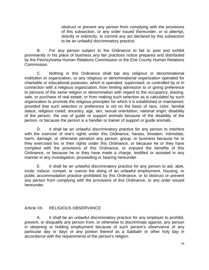obstruct or prevent any person from complying with the provisions of this subsection, or any order issued thereunder, or to attempt, directly or indirectly, to commit any act declared by this subsection to be an unlawful discriminatory practice.

B. For any person subject to the Ordinance to fail to post and exhibit prominently in his place of business any fair practices notice prepared and distributed by the Pennsylvania Human Relations Commission or the Erie County Human Relations Commission.

C. Nothing in this Ordinance shall bar any religious or denominational institution or organization, or any religious or denominational organization operated for charitable or educational purposes, which is operated, supervised, or controlled by or in connection with a religious organization, from limiting admission to or giving preference to persons of the same religion or denomination with regard to the occupancy, leasing, sale, or purchase of real estate, or from making such selection as is calculated by such organization to promote the religious principles for which it is established or maintained, provided that such selection or preference is not on the basis of race, color, familial status, religious creed, ancestry, age, sex, sexual orientation, national origin, disability of the person, the use of guide or support animals because of the disability of the person, or because the person is a handler or trainer of support or guide animals..

D. It shall be an unlawful discriminatory practice for any person to interfere with the exercise of one's rights under this Ordinance, harass, threaten, intimidate, harm, damage, or otherwise penalize any person, group, or business because he or they exercised his or their rights under this Ordinance, or because he or they have complied with the provisions of this Ordinance, or enjoyed the benefits of this Ordinance, or because he or they have made a charge, testified or assisted in any manner in any investigation, proceeding or hearing hereunder.

E. It shall be an unlawful discriminatory practice for any person to aid, abet, incite, induce, compel, or coerce the doing of an unlawful employment, housing, or public accommodation practice prohibited by this Ordinance, or to obstruct or prevent any person from complying with the provisions of this Ordinance, or any order issued hereunder.

## Article XII. RELIGIOUS OBSERVANCE

A. It shall be an unlawful discriminatory practice for any employer to prohibit, prevent, or disqualify any person from, or otherwise to discriminate against, any person in obtaining or holding employment because of such person's observance of any particular day or days or any portion thereof as a Sabbath or other holy day in accordance with the requirements of the person's religion.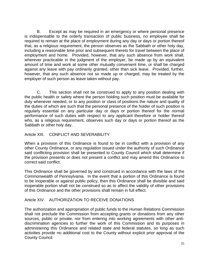B. Except as may be required in an emergency or where personal presence is indispensable to the orderly transaction of public business, no employee shall be required to remain at the place of employment during any day or days or portion thereof that, as a religious requirement, the person observes as the Sabbath or other holy day, including a reasonable time prior and subsequent thereto for travel between the place of employment and home. Provided, however, that any such absence from work shall, wherever practicable in the judgment of the employer, be made up by an equivalent amount of time and work at some other mutually convenient time, or shall be charged against any leave with pay ordinarily granted, other than sick leave. Provided, further, however, that any such absence not so made up or charged, may be treated by the employer of such person as leave taken without pay.

C. This section shall not be construed to apply to any position dealing with the public health or safety where the person holding such position must be available for duty whenever needed, or to any position or class of positions the nature and quality of the duties of which are such that the personal presence of the holder of such position is regularly essential on any particular day or days or portion thereof for the normal performance of such duties with respect to any applicant therefore or holder thereof who, as a religious requirement, observes such day or days or portion thereof as the Sabbath or other holy day.

#### Article XIII. CONFLICT AND SEVERABILITY

When a provision of this Ordinance is found to be in conflict with a provision of any other County Ordinance, or any regulation issued under the authority of such Ordinance said conflicting provision shall be presented to County Council which shall determine if the provision presents or does not present a conflict and may amend this Ordinance to correct said conflict.

This Ordinance shall be governed by and construed in accordance with the laws of the Commonwealth of Pennsylvania. In the event that a portion of this Ordinance is found to be inoperable or against public policy, then this Ordinance shall be divisible and said inoperable portion shall not be construed so as to affect the validity of other provisions of this Ordinance and the other provisions shall remain in full effect.

#### Article XIV. AUTHORIZATION TO RECEIVE DONATIONS

The authorization and appropriation of public funds to the Human Relations Commission shall not preclude the Commission from accepting grants or donations from any other sources, public or private, nor from entering into working agreements with other antidiscrimination agencies to further the work of this Commission and its purposes in administering this Ordinance and related state and federal statutes, so long as such activities provide no additional cost to the County without explicit prior approval of the County Council.